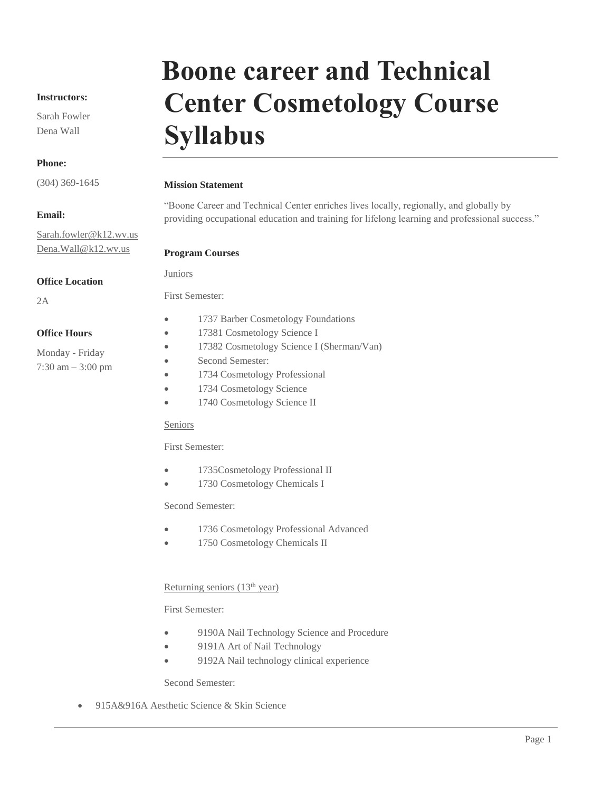#### **Instructors:**

Sarah Fowler Dena Wall

#### **Phone:**

(304) 369-1645

#### **Email:**

[Sarah.fowler@k12.wv.us](mailto:Sarah.fowler@k12.wv.us) Dena.Wall@k12.wv.us

#### **Office Location**

2A

### First Semester:

Juniors

**Office Hours**

Monday - Friday 7:30 am – 3:00 pm

- 1737 Barber Cosmetology Foundations
- 17381 Cosmetology Science I
- 17382 Cosmetology Science I (Sherman/Van)
- Second Semester:
- 1734 Cosmetology Professional
- 1734 Cosmetology Science
- 1740 Cosmetology Science II

#### Seniors

First Semester:

- 1735Cosmetology Professional II
- 1730 Cosmetology Chemicals I

#### Second Semester:

- 1736 Cosmetology Professional Advanced
- 1750 Cosmetology Chemicals II

#### Returning seniors (13<sup>th</sup> year)

First Semester:

- 9190A Nail Technology Science and Procedure
- 9191A Art of Nail Technology
- 9192A Nail technology clinical experience

Second Semester:

• 915A&916A Aesthetic Science & Skin Science

# **Boone career and Technical Center Cosmetology Course Syllabus**

## **Mission Statement**

"Boone Career and Technical Center enriches lives locally, regionally, and globally by providing occupational education and training for lifelong learning and professional success."

#### **Program Courses**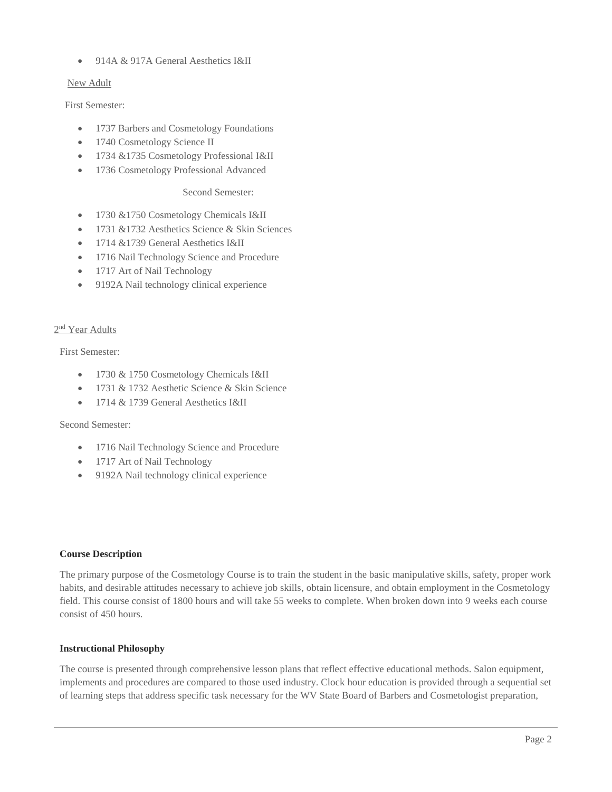• 914A & 917A General Aesthetics I&II

#### New Adult

First Semester:

- 1737 Barbers and Cosmetology Foundations
- 1740 Cosmetology Science II
- 1734 &1735 Cosmetology Professional I&II
- 1736 Cosmetology Professional Advanced

#### Second Semester:

- 1730 &1750 Cosmetology Chemicals I&II
- 1731 & 1732 Aesthetics Science & Skin Sciences
- 1714 &1739 General Aesthetics I&II
- 1716 Nail Technology Science and Procedure
- 1717 Art of Nail Technology
- 9192A Nail technology clinical experience

#### 2<sup>nd</sup> Year Adults

First Semester:

- 1730 & 1750 Cosmetology Chemicals I&II
- 1731 & 1732 Aesthetic Science & Skin Science
- 1714 & 1739 General Aesthetics I&II

#### Second Semester:

- 1716 Nail Technology Science and Procedure
- 1717 Art of Nail Technology
- 9192A Nail technology clinical experience

#### **Course Description**

The primary purpose of the Cosmetology Course is to train the student in the basic manipulative skills, safety, proper work habits, and desirable attitudes necessary to achieve job skills, obtain licensure, and obtain employment in the Cosmetology field. This course consist of 1800 hours and will take 55 weeks to complete. When broken down into 9 weeks each course consist of 450 hours.

#### **Instructional Philosophy**

The course is presented through comprehensive lesson plans that reflect effective educational methods. Salon equipment, implements and procedures are compared to those used industry. Clock hour education is provided through a sequential set of learning steps that address specific task necessary for the WV State Board of Barbers and Cosmetologist preparation,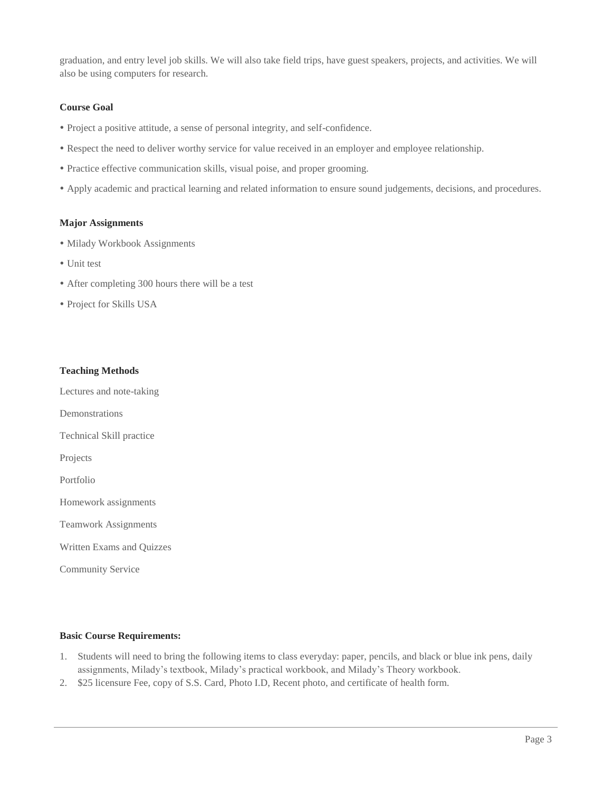graduation, and entry level job skills. We will also take field trips, have guest speakers, projects, and activities. We will also be using computers for research.

#### **Course Goal**

- Project a positive attitude, a sense of personal integrity, and self-confidence.
- Respect the need to deliver worthy service for value received in an employer and employee relationship.
- Practice effective communication skills, visual poise, and proper grooming.
- Apply academic and practical learning and related information to ensure sound judgements, decisions, and procedures.

#### **Major Assignments**

- Milady Workbook Assignments
- Unit test
- After completing 300 hours there will be a test
- Project for Skills USA

#### **Teaching Methods**

Lectures and note-taking

Demonstrations

Technical Skill practice

Projects

Portfolio

Homework assignments

Teamwork Assignments

Written Exams and Quizzes

Community Service

#### **Basic Course Requirements:**

- 1. Students will need to bring the following items to class everyday: paper, pencils, and black or blue ink pens, daily assignments, Milady's textbook, Milady's practical workbook, and Milady's Theory workbook.
- 2. \$25 licensure Fee, copy of S.S. Card, Photo I.D, Recent photo, and certificate of health form.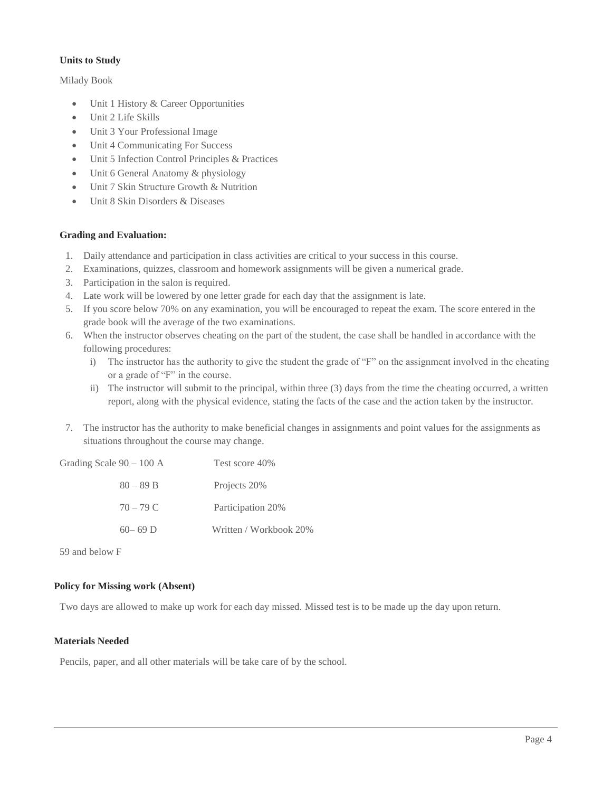#### **Units to Study**

Milady Book

- Unit 1 History & Career Opportunities
- Unit 2 Life Skills
- Unit 3 Your Professional Image
- Unit 4 Communicating For Success
- Unit 5 Infection Control Principles & Practices
- Unit 6 General Anatomy & physiology
- Unit 7 Skin Structure Growth & Nutrition
- Unit 8 Skin Disorders & Diseases

#### **Grading and Evaluation:**

- 1. Daily attendance and participation in class activities are critical to your success in this course.
- 2. Examinations, quizzes, classroom and homework assignments will be given a numerical grade.
- 3. Participation in the salon is required.
- 4. Late work will be lowered by one letter grade for each day that the assignment is late.
- 5. If you score below 70% on any examination, you will be encouraged to repeat the exam. The score entered in the grade book will the average of the two examinations.
- 6. When the instructor observes cheating on the part of the student, the case shall be handled in accordance with the following procedures:
	- i) The instructor has the authority to give the student the grade of "F" on the assignment involved in the cheating or a grade of "F" in the course.
	- ii) The instructor will submit to the principal, within three (3) days from the time the cheating occurred, a written report, along with the physical evidence, stating the facts of the case and the action taken by the instructor.
- 7. The instructor has the authority to make beneficial changes in assignments and point values for the assignments as situations throughout the course may change.

| Grading Scale 90 – 100 A | Test score 40%         |
|--------------------------|------------------------|
| $80 - 89 B$              | Projects 20%           |
| $70 - 79$ C              | Participation 20%      |
| $60 - 69$ D              | Written / Workbook 20% |

59 and below F

#### **Policy for Missing work (Absent)**

Two days are allowed to make up work for each day missed. Missed test is to be made up the day upon return.

#### **Materials Needed**

Pencils, paper, and all other materials will be take care of by the school.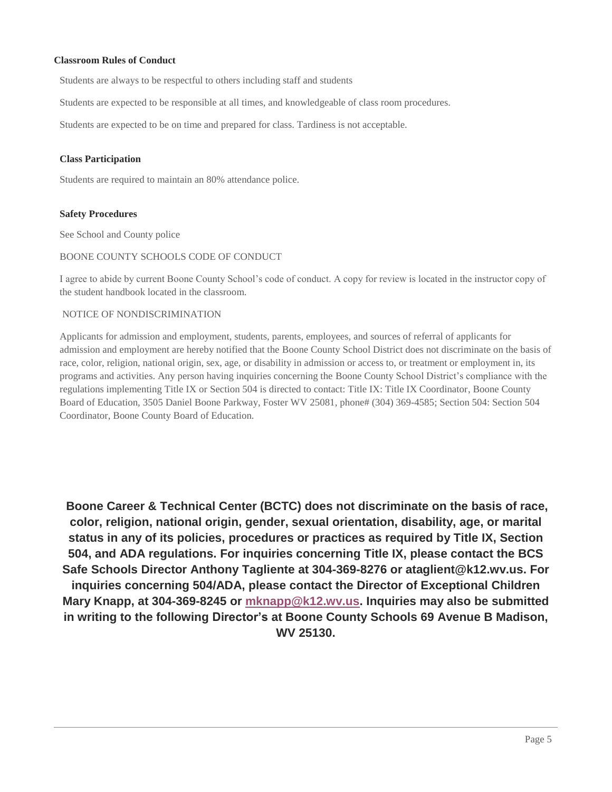#### **Classroom Rules of Conduct**

Students are always to be respectful to others including staff and students

Students are expected to be responsible at all times, and knowledgeable of class room procedures.

Students are expected to be on time and prepared for class. Tardiness is not acceptable.

#### **Class Participation**

Students are required to maintain an 80% attendance police.

#### **Safety Procedures**

See School and County police

#### BOONE COUNTY SCHOOLS CODE OF CONDUCT

I agree to abide by current Boone County School's code of conduct. A copy for review is located in the instructor copy of the student handbook located in the classroom.

#### NOTICE OF NONDISCRIMINATION

Applicants for admission and employment, students, parents, employees, and sources of referral of applicants for admission and employment are hereby notified that the Boone County School District does not discriminate on the basis of race, color, religion, national origin, sex, age, or disability in admission or access to, or treatment or employment in, its programs and activities. Any person having inquiries concerning the Boone County School District's compliance with the regulations implementing Title IX or Section 504 is directed to contact: Title IX: Title IX Coordinator, Boone County Board of Education, 3505 Daniel Boone Parkway, Foster WV 25081, phone# (304) 369-4585; Section 504: Section 504 Coordinator, Boone County Board of Education.

**Boone Career & Technical Center (BCTC) does not discriminate on the basis of race, color, religion, national origin, gender, sexual orientation, disability, age, or marital status in any of its policies, procedures or practices as required by Title IX, Section 504, and ADA regulations. For inquiries concerning Title IX, please contact the BCS Safe Schools Director Anthony Tagliente at 304-369-8276 or ataglient@k12.wv.us. For inquiries concerning 504/ADA, please contact the Director of Exceptional Children Mary Knapp, at 304-369-8245 or [mknapp@k12.wv.us.](mailto:mknapp@k12.wv.us) Inquiries may also be submitted in writing to the following Director's at Boone County Schools 69 Avenue B Madison, WV 25130.**